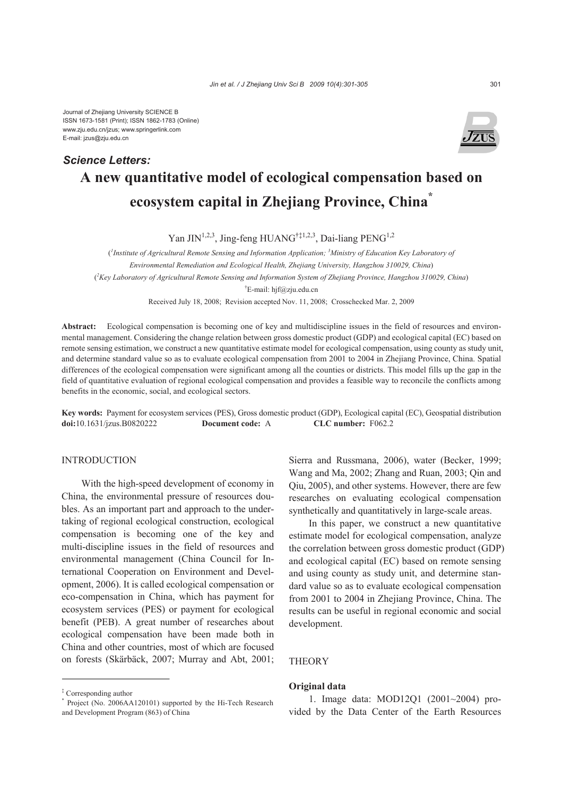

# **A new quantitative model of ecological compensation based on ecosystem capital in Zhejiang Province, China\*** *Science Letters:*

Yan JIN<sup>1,2,3</sup>, Jing-feng HUANG<sup>†‡1,2,3</sup>, Dai-liang PENG<sup>1,2</sup>

( *1 Institute of Agricultural Remote Sensing and Information Application; 3 Ministry of Education Key Laboratory of Environmental Remediation and Ecological Health, Zhejiang University, Hangzhou 310029, China*) ( *2 Key Laboratory of Agricultural Remote Sensing and Information System of Zhejiang Province, Hangzhou 310029, China*) † E-mail: hjf@zju.edu.cn

Received July 18, 2008; Revision accepted Nov. 11, 2008; Crosschecked Mar. 2, 2009

**Abstract:** Ecological compensation is becoming one of key and multidiscipline issues in the field of resources and environmental management. Considering the change relation between gross domestic product (GDP) and ecological capital (EC) based on remote sensing estimation, we construct a new quantitative estimate model for ecological compensation, using county as study unit, and determine standard value so as to evaluate ecological compensation from 2001 to 2004 in Zhejiang Province, China. Spatial differences of the ecological compensation were significant among all the counties or districts. This model fills up the gap in the field of quantitative evaluation of regional ecological compensation and provides a feasible way to reconcile the conflicts among benefits in the economic, social, and ecological sectors.

**Key words:** Payment for ecosystem services (PES), Gross domestic product (GDP), Ecological capital (EC), Geospatial distribution **doi:**10.1631/jzus.B0820222 **Document code:** A **CLC number:** F062.2

# INTRODUCTION

With the high-speed development of economy in China, the environmental pressure of resources doubles. As an important part and approach to the undertaking of regional ecological construction, ecological compensation is becoming one of the key and multi-discipline issues in the field of resources and environmental management (China Council for International Cooperation on Environment and Development, 2006). It is called ecological compensation or eco-compensation in China, which has payment for ecosystem services (PES) or payment for ecological benefit (PEB). A great number of researches about ecological compensation have been made both in China and other countries, most of which are focused on forests (Skärbäck, 2007; Murray and Abt, 2001; Sierra and Russmana, 2006), water (Becker, 1999; Wang and Ma, 2002; Zhang and Ruan, 2003; Qin and Qiu, 2005), and other systems. However, there are few researches on evaluating ecological compensation synthetically and quantitatively in large-scale areas.

In this paper, we construct a new quantitative estimate model for ecological compensation, analyze the correlation between gross domestic product (GDP) and ecological capital (EC) based on remote sensing and using county as study unit, and determine standard value so as to evaluate ecological compensation from 2001 to 2004 in Zhejiang Province, China. The results can be useful in regional economic and social development.

## **THEORY**

# **Original data**

1. Image data: MOD12Q1 (2001~2004) provided by the Data Center of the Earth Resources

<sup>‡</sup> Corresponding author

<sup>\*</sup> Project (No. 2006AA120101) supported by the Hi-Tech Research and Development Program (863) of China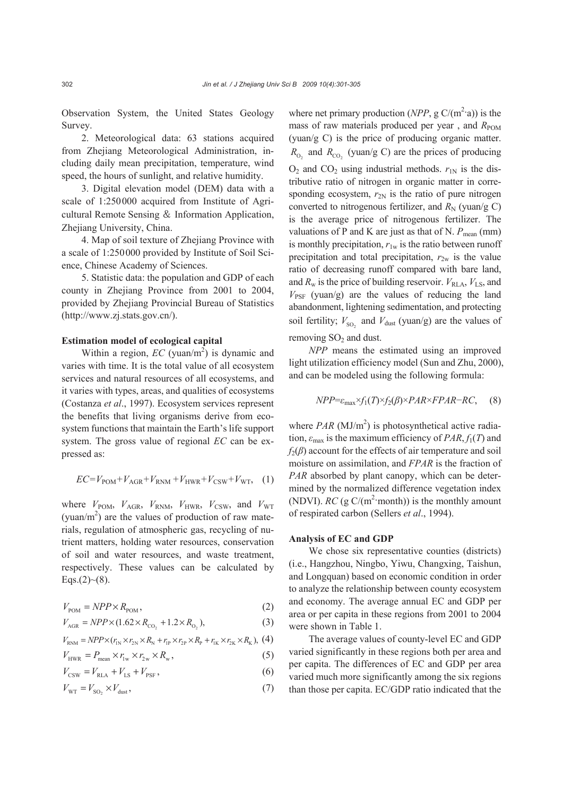Observation System, the United States Geology Survey.

2. Meteorological data: 63 stations acquired from Zhejiang Meteorological Administration, including daily mean precipitation, temperature, wind speed, the hours of sunlight, and relative humidity.

3. Digital elevation model (DEM) data with a scale of 1:250000 acquired from Institute of Agricultural Remote Sensing & Information Application, Zhejiang University, China.

4. Map of soil texture of Zhejiang Province with a scale of 1:250000 provided by Institute of Soil Science, Chinese Academy of Sciences.

5. Statistic data: the population and GDP of each county in Zhejiang Province from 2001 to 2004, provided by Zhejiang Provincial Bureau of Statistics (http://www.zj.stats.gov.cn/).

## **Estimation model of ecological capital**

Within a region,  $EC$  (yuan/m<sup>2</sup>) is dynamic and varies with time. It is the total value of all ecosystem services and natural resources of all ecosystems, and it varies with types, areas, and qualities of ecosystems (Costanza *et al*., 1997). Ecosystem services represent the benefits that living organisms derive from ecosystem functions that maintain the Earth's life support system. The gross value of regional *EC* can be expressed as:

$$
EC = VPOM + VAGR + VRNM + VHWR + VCSW + VWT, (1)
$$

where  $V_{\text{POM}}$ ,  $V_{\text{AGR}}$ ,  $V_{\text{RNM}}$ ,  $V_{\text{HWR}}$ ,  $V_{\text{CSW}}$ , and  $V_{\text{WT}}$ (yuan/ $m<sup>2</sup>$ ) are the values of production of raw materials, regulation of atmospheric gas, recycling of nutrient matters, holding water resources, conservation of soil and water resources, and waste treatment, respectively. These values can be calculated by Eqs. $(2)$  ~ $(8)$ .

$$
V_{\text{POM}} = NPP \times R_{\text{POM}},\tag{2}
$$

$$
V_{AGR} = NPP \times (1.62 \times R_{CO_2} + 1.2 \times R_{O_2}),
$$
\n(3)

$$
V_{RNM} = NPP \times (r_{IN} \times r_{2N} \times R_N + r_{IP} \times r_{2P} \times R_P + r_{IK} \times r_{2K} \times R_K), (4)
$$

$$
V_{\text{HWR}} = P_{\text{mean}} \times r_{\text{lw}} \times r_{\text{zw}} \times R_{\text{w}},\tag{5}
$$

$$
V_{\text{CSW}} = V_{\text{RLA}} + V_{\text{LS}} + V_{\text{PSF}}\,,\tag{6}
$$

$$
V_{\text{WT}} = V_{\text{SO}_2} \times V_{\text{dust}},\tag{7}
$$

where net primary production  $(NPP, g C/(m^2 \cdot a))$  is the mass of raw materials produced per year, and *R*<sub>POM</sub> (yuan/g C) is the price of producing organic matter.  $R_{\text{o}_2}$  and  $R_{\text{co}_2}$  (yuan/g C) are the prices of producing  $O_2$  and  $CO_2$  using industrial methods.  $r_{1N}$  is the distributive ratio of nitrogen in organic matter in corresponding ecosystem,  $r_{2N}$  is the ratio of pure nitrogen converted to nitrogenous fertilizer, and  $R_N$  (yuan/g C) is the average price of nitrogenous fertilizer. The valuations of P and K are just as that of N.  $P_{\text{mean}}$  (mm) is monthly precipitation,  $r_{1w}$  is the ratio between runoff precipitation and total precipitation,  $r_{2w}$  is the value ratio of decreasing runoff compared with bare land, and  $R_w$  is the price of building reservoir.  $V_{\text{RLA}}$ ,  $V_{\text{LS}}$ , and  $V_{\text{PSF}}$  (yuan/g) are the values of reducing the land abandonment, lightening sedimentation, and protecting soil fertility;  $V_{\text{SO}_2}$  and  $V_{\text{dust}}$  (yuan/g) are the values of removing  $SO<sub>2</sub>$  and dust.

*NPP* means the estimated using an improved light utilization efficiency model (Sun and Zhu, 2000), and can be modeled using the following formula:

$$
NPP = \varepsilon_{\text{max}} \times f_1(T) \times f_2(\beta) \times PAR \times FPAR - RC, \quad (8)
$$

where  $PAR$  ( $MJ/m<sup>2</sup>$ ) is photosynthetical active radiation, *ε*max is the maximum efficiency of *PAR*, *f*1(*T*) and  $f_2(\beta)$  account for the effects of air temperature and soil moisture on assimilation, and *FPAR* is the fraction of *PAR* absorbed by plant canopy, which can be determined by the normalized difference vegetation index (NDVI).  $RC$  (g  $C/(m^2 \cdot \text{month})$ ) is the monthly amount of respirated carbon (Sellers *et al*., 1994).

# **Analysis of EC and GDP**

We chose six representative counties (districts) (i.e., Hangzhou, Ningbo, Yiwu, Changxing, Taishun, and Longquan) based on economic condition in order to analyze the relationship between county ecosystem and economy. The average annual EC and GDP per area or per capita in these regions from 2001 to 2004 were shown in Table 1.

The average values of county-level EC and GDP varied significantly in these regions both per area and per capita. The differences of EC and GDP per area varied much more significantly among the six regions than those per capita. EC/GDP ratio indicated that the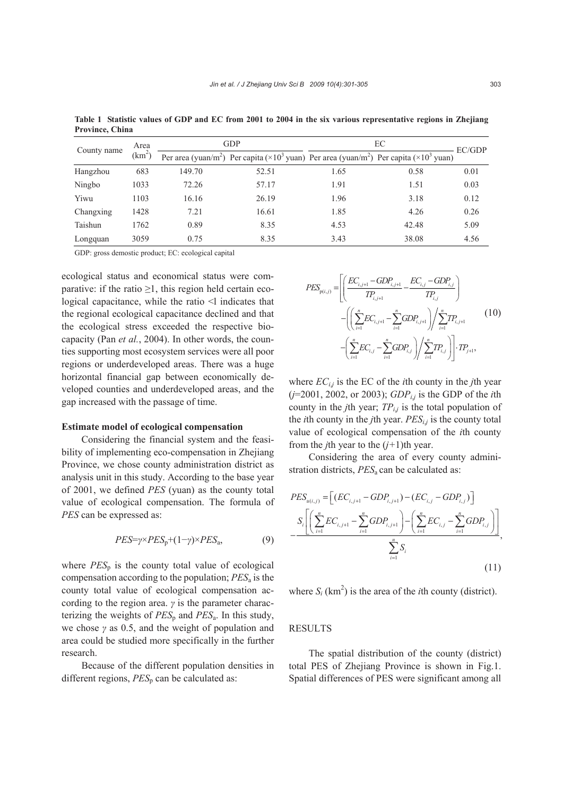| County name | Area<br>(km <sup>2</sup> ) | <b>GDP</b> |                                                                                                                                                         | EC   |       | EC/GDP |
|-------------|----------------------------|------------|---------------------------------------------------------------------------------------------------------------------------------------------------------|------|-------|--------|
|             |                            |            | Per area (yuan/m <sup>2</sup> ) Per capita ( $\times$ 10 <sup>3</sup> yuan) Per area (yuan/m <sup>2</sup> ) Per capita ( $\times$ 10 <sup>3</sup> yuan) |      |       |        |
| Hangzhou    | 683                        | 149.70     | 52.51                                                                                                                                                   | 1.65 | 0.58  | 0.01   |
| Ningbo      | 1033                       | 72.26      | 57.17                                                                                                                                                   | 1.91 | 1.51  | 0.03   |
| Yiwu        | 1103                       | 16.16      | 26.19                                                                                                                                                   | 1.96 | 3.18  | 0.12   |
| Changxing   | 1428                       | 7.21       | 16.61                                                                                                                                                   | 1.85 | 4.26  | 0.26   |
| Taishun     | 1762                       | 0.89       | 8.35                                                                                                                                                    | 4.53 | 42.48 | 5.09   |
| Longquan    | 3059                       | 0.75       | 8.35                                                                                                                                                    | 3.43 | 38.08 | 4.56   |

**Table 1 Statistic values of GDP and EC from 2001 to 2004 in the six various representative regions in Zhejiang Province, China** 

GDP: gross demostic product; EC: ecological capital

ecological status and economical status were comparative: if the ratio  $\geq 1$ , this region held certain ecological capacitance, while the ratio <l indicates that the regional ecological capacitance declined and that the ecological stress exceeded the respective biocapacity (Pan *et al.*, 2004). In other words, the counties supporting most ecosystem services were all poor regions or underdeveloped areas. There was a huge horizontal financial gap between economically developed counties and underdeveloped areas, and the gap increased with the passage of time.

#### **Estimate model of ecological compensation**

Considering the financial system and the feasibility of implementing eco-compensation in Zhejiang Province, we chose county administration district as analysis unit in this study. According to the base year of 2001, we defined *PES* (yuan) as the county total value of ecological compensation. The formula of *PES* can be expressed as:

$$
PES=\gamma \times PES_p + (1-\gamma) \times PES_a,\tag{9}
$$

where  $PES_p$  is the county total value of ecological compensation according to the population; *PES*a is the county total value of ecological compensation according to the region area. *γ* is the parameter characterizing the weights of  $PES_p$  and  $PES_a$ . In this study, we chose *γ* as 0.5, and the weight of population and area could be studied more specifically in the further research.

Because of the different population densities in different regions,  $PES_p$  can be calculated as:

$$
PES_{p(i,j)} = \left[ \left( \frac{EC_{i,j+1} - GDP_{i,j+1}}{TP_{i,j+1}} - \frac{EC_{i,j} - GDP_{i,j}}{TP_{i,j}} \right) - \left( \left( \sum_{i=1}^{n} EC_{i,j+1} - \sum_{i=1}^{n} GDP_{i,j+1} \right) / \sum_{i=1}^{n} TP_{i,j+1} \right) - \left( \sum_{i=1}^{n} EC_{i,j} - \sum_{i=1}^{n} GDP_{i,j} \right) / \sum_{i=1}^{n} TP_{i,j} \right) \cdot TP_{j+1},
$$
\n(10)

where  $EC_{i,j}$  is the EC of the *i*th county in the *j*th year (*j*=2001, 2002, or 2003); *GDPi*,*j* is the GDP of the *i*th county in the *j*th year;  $TP_{i,j}$  is the total population of the *i*th county in the *j*th year.  $PES_{i,j}$  is the county total value of ecological compensation of the *i*th county from the *j*th year to the  $(j+1)$ th year.

Considering the area of every county administration districts, *PES*<sub>a</sub> can be calculated as:

$$
PES_{a(i,j)} = \underbrace{\left[ (EC_{i,j+1} - GDP_{i,j+1}) - (EC_{i,j} - GDP_{i,j}) \right]}_{\text{-} = \underbrace{S_i \left[ \left( \sum_{i=1}^n EC_{i,j+1} - \sum_{i=1}^n GDP_{i,j+1} \right) - \left( \sum_{i=1}^n EC_{i,j} - \sum_{i=1}^n GDP_{i,j} \right) \right]}_{\text{-} = \underbrace{S_i \left[ S_i \right]}_{\text{} = \underbrace{S_i \left[ (11) \right]}_{\text{}
$$

where  $S_i$  (km<sup>2</sup>) is the area of the *i*th county (district).

## **RESULTS**

The spatial distribution of the county (district) total PES of Zhejiang Province is shown in Fig.1. Spatial differences of PES were significant among all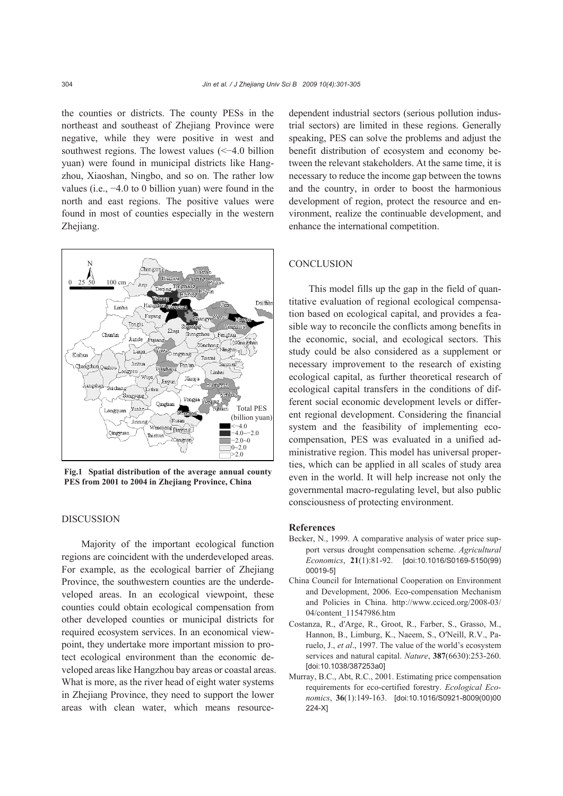the counties or districts. The county PESs in the northeast and southeast of Zhejiang Province were negative, while they were positive in west and southwest regions. The lowest values (<−4.0 billion yuan) were found in municipal districts like Hangzhou, Xiaoshan, Ningbo, and so on. The rather low values (i.e.,  $-4.0$  to 0 billion yuan) were found in the north and east regions. The positive values were found in most of counties especially in the western Zhejiang.



**Fig.1 Spatial distribution of the average annual county PES from 2001 to 2004 in Zhejiang Province, China**

## DISCUSSION

Majority of the important ecological function regions are coincident with the underdeveloped areas. For example, as the ecological barrier of Zhejiang Province, the southwestern counties are the underdeveloped areas. In an ecological viewpoint, these counties could obtain ecological compensation from other developed counties or municipal districts for required ecosystem services. In an economical viewpoint, they undertake more important mission to protect ecological environment than the economic developed areas like Hangzhou bay areas or coastal areas. What is more, as the river head of eight water systems in Zhejiang Province, they need to support the lower areas with clean water, which means resourcedependent industrial sectors (serious pollution industrial sectors) are limited in these regions. Generally speaking, PES can solve the problems and adjust the benefit distribution of ecosystem and economy between the relevant stakeholders. At the same time, it is necessary to reduce the income gap between the towns and the country, in order to boost the harmonious development of region, protect the resource and environment, realize the continuable development, and enhance the international competition.

# **CONCLUSION**

This model fills up the gap in the field of quantitative evaluation of regional ecological compensation based on ecological capital, and provides a feasible way to reconcile the conflicts among benefits in the economic, social, and ecological sectors. This study could be also considered as a supplement or necessary improvement to the research of existing ecological capital, as further theoretical research of ecological capital transfers in the conditions of different social economic development levels or different regional development. Considering the financial system and the feasibility of implementing ecocompensation, PES was evaluated in a unified administrative region. This model has universal properties, which can be applied in all scales of study area even in the world. It will help increase not only the governmental macro-regulating level, but also public consciousness of protecting environment.

## **References**

- Becker, N., 1999. A comparative analysis of water price support versus drought compensation scheme. *Agricultural Economics*, **21**(1):81-92. [doi:10.1016/S0169-5150(99) 00019-5]
- China Council for International Cooperation on Environment and Development, 2006. Eco-compensation Mechanism and Policies in China. http://www.cciced.org/2008-03/ 04/content\_11547986.htm
- Costanza, R., d′Arge, R., Groot, R., Farber, S., Grasso, M., Hannon, B., Limburg, K., Naeem, S., O′Neill, R.V., Paruelo, J., *et al*., 1997. The value of the world's ecosystem services and natural capital. *Nature*, **387**(6630):253-260. [doi:10.1038/387253a0]
- Murray, B.C., Abt, R.C., 2001. Estimating price compensation requirements for eco-certified forestry. *Ecological Economics*, **36**(1):149-163. [doi:10.1016/S0921-8009(00)00 224-X]